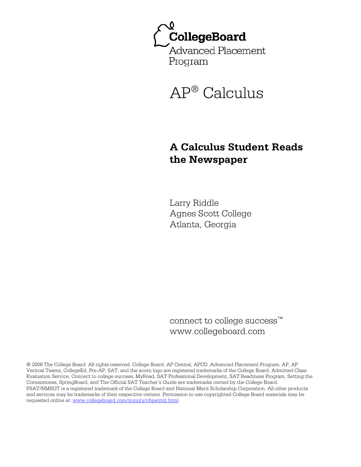



# **A Calculus Student Reads the Newspaper**

Larry Riddle Agnes Scott College Atlanta, Georgia

connect to college success™ www.collegeboard.com

© 2008 The College Board. All rights reserved. College Board, AP Central, APCD, Advanced Placement Program, AP, AP Vertical Teams, CollegeEd, Pre-AP, SAT, and the acorn logo are registered trademarks of the College Board. Admitted Class Evaluation Service, Connect to college success, MyRoad, SAT Professional Development, SAT Readiness Program, Setting the Cornerstones, SpringBoard, and The Official SAT Teacher's Guide are trademarks owned by the College Board. PSAT/NMSQT is a registered trademark of the College Board and National Merit Scholarship Corporation. All other products and services may be trademarks of their respective owners. Permission to use copyrighted College Board materials may be requested online at: www.collegeboard.com/inquiry/cbpermit.html.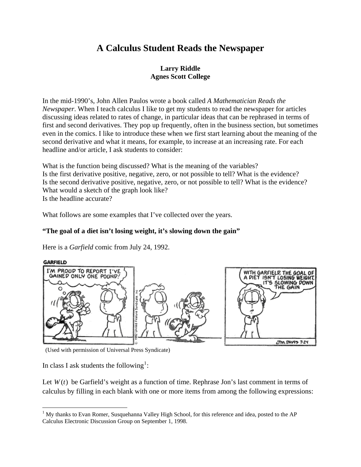## **A Calculus Student Reads the Newspaper**

### **Larry Riddle Agnes Scott College**

In the mid-1990's, John Allen Paulos wrote a book called *A Mathematician Reads the Newspaper*. When I teach calculus I like to get my students to read the newspaper for articles discussing ideas related to rates of change, in particular ideas that can be rephrased in terms of first and second derivatives. They pop up frequently, often in the business section, but sometimes even in the comics. I like to introduce these when we first start learning about the meaning of the second derivative and what it means, for example, to increase at an increasing rate. For each headline and/or article, I ask students to consider:

What is the function being discussed? What is the meaning of the variables? Is the first derivative positive, negative, zero, or not possible to tell? What is the evidence? Is the second derivative positive, negative, zero, or not possible to tell? What is the evidence? What would a sketch of the graph look like? Is the headline accurate?

What follows are some examples that I've collected over the years.

## **"The goal of a diet isn't losing weight, it's slowing down the gain"**

Here is a *Garfield* comic from July 24, 1992.



(Used with permission of Universal Press Syndicate)

In class I ask students the following<sup>[1](#page-1-0)</sup>:

 $\overline{a}$ 

Let  $W(t)$  be Garfield's weight as a function of time. Rephrase Jon's last comment in terms of calculus by filling in each blank with one or more items from among the following expressions:

<span id="page-1-0"></span><sup>&</sup>lt;sup>1</sup> My thanks to Evan Romer, Susquehanna Valley High School, for this reference and idea, posted to the AP Calculus Electronic Discussion Group on September 1, 1998.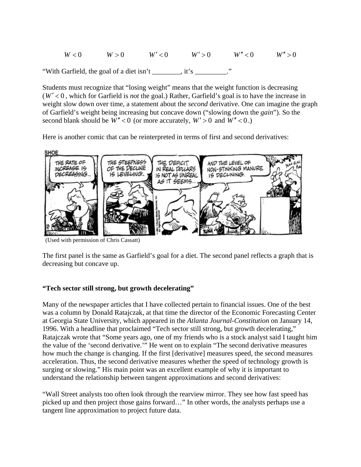$W < 0$   $W > 0$   $W' < 0$   $W' > 0$   $W'' > 0$   $W'' > 0$ 

"With Garfield, the goal of a diet isn't \_\_\_\_\_\_\_\_, it's \_\_\_\_\_\_\_\_\_."

Students must recognize that "losing weight" means that the weight function is decreasing  $(W' < 0$ , which for Garfield is *not* the goal.) Rather, Garfield's goal is to have the increase in weight slow down over time, a statement about the *second* derivative. One can imagine the graph of Garfield's weight being increasing but concave down ("slowing down the *gain*"). So the second blank should be  $W'' < 0$  (or more accurately,  $W' > 0$  and  $W'' < 0$ .)

Here is another comic that can be reinterpreted in terms of first and second derivatives:



(Used with permission of Chris Cassatt)

The first panel is the same as Garfield's goal for a diet. The second panel reflects a graph that is decreasing but concave up.

#### **"Tech sector still strong, but growth decelerating"**

Many of the newspaper articles that I have collected pertain to financial issues. One of the best was a column by Donald Ratajczak, at that time the director of the Economic Forecasting Center at Georgia State University, which appeared in the *Atlanta Journal-Constitution* on January 14, 1996. With a headline that proclaimed "Tech sector still strong, but growth decelerating," Ratajczak wrote that "Some years ago, one of my friends who is a stock analyst said I taught him the value of the 'second derivative.'" He went on to explain "The second derivative measures how much the change is changing. If the first [derivative] measures speed, the second measures acceleration. Thus, the second derivative measures whether the speed of technology growth is surging or slowing." His main point was an excellent example of why it is important to understand the relationship between tangent approximations and second derivatives:

"Wall Street analysts too often look through the rearview mirror. They see how fast speed has picked up and then project those gains forward…" In other words, the analysts perhaps use a tangent line approximation to project future data.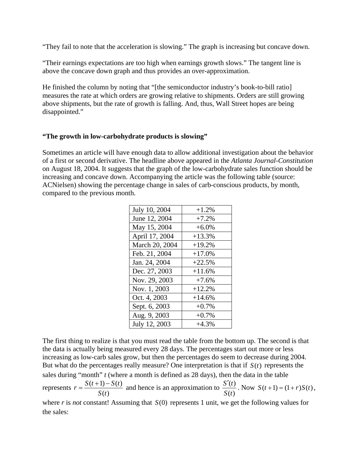"They fail to note that the acceleration is slowing." The graph is increasing but concave down.

"Their earnings expectations are too high when earnings growth slows." The tangent line is above the concave down graph and thus provides an over-approximation.

He finished the column by noting that "[the semiconductor industry's book-to-bill ratio] measures the rate at which orders are growing relative to shipments. Orders are still growing above shipments, but the rate of growth is falling. And, thus, Wall Street hopes are being disappointed."

#### **"The growth in low-carbohydrate products is slowing"**

Sometimes an article will have enough data to allow additional investigation about the behavior of a first or second derivative. The headline above appeared in the *Atlanta Journal-Constitution* on August 18, 2004. It suggests that the graph of the low-carbohydrate sales function should be increasing and concave down. Accompanying the article was the following table (source: ACNielsen) showing the percentage change in sales of carb-conscious products, by month, compared to the previous month.

| July 10, 2004  | $+1.2%$  |
|----------------|----------|
| June 12, 2004  | $+7.2%$  |
| May 15, 2004   | $+6.0%$  |
| April 17, 2004 | $+13.3%$ |
| March 20, 2004 | $+19.2%$ |
| Feb. 21, 2004  | $+17.0%$ |
| Jan. 24, 2004  | $+22.5%$ |
| Dec. 27, 2003  | $+11.6%$ |
| Nov. 29, 2003  | $+7.6%$  |
| Nov. 1, 2003   | $+12.2%$ |
| Oct. 4, 2003   | $+14.6%$ |
| Sept. 6, 2003  | $+0.7%$  |
| Aug. 9, 2003   | $+0.7%$  |
| July 12, 2003  | $+4.3%$  |

The first thing to realize is that you must read the table from the bottom up. The second is that the data is actually being measured every 28 days. The percentages start out more or less increasing as low-carb sales grow, but then the percentages do seem to decrease during 2004. But what do the percentages really measure? One interpretation is that if  $S(t)$  represents the sales during "month" *t* (where a month is defined as 28 days), then the data in the table represents  $r = \frac{S(t+1) - S(t)}{S(t)}$  $(t)$  $r = \frac{S(t+1) - S(t)}{s}$ *S t*  $=\frac{S(t+1)-S(t)}{S(t)}$  and hence is an approximation to  $\frac{S'(t)}{S(t)}$  $(t)$ *S t S t*  $\frac{f'(t)}{f(x)}$ . Now  $S(t+1) = (1+r)S(t)$ , where  $r$  is *not* constant! Assuming that  $S(0)$  represents 1 unit, we get the following values for the sales: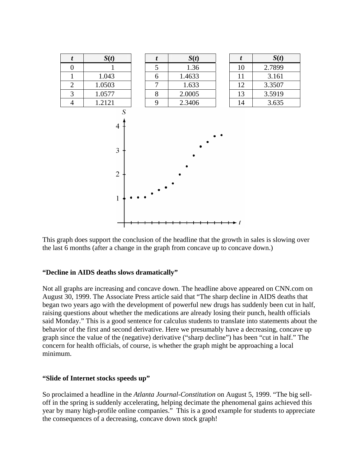

This graph does support the conclusion of the headline that the growth in sales is slowing over the last 6 months (after a change in the graph from concave up to concave down.)

#### **"Decline in AIDS deaths slows dramatically"**

Not all graphs are increasing and concave down. The headline above appeared on CNN.com on August 30, 1999. The Associate Press article said that "The sharp decline in AIDS deaths that began two years ago with the development of powerful new drugs has suddenly been cut in half, raising questions about whether the medications are already losing their punch, health officials said Monday." This is a good sentence for calculus students to translate into statements about the behavior of the first and second derivative. Here we presumably have a decreasing, concave up graph since the value of the (negative) derivative ("sharp decline") has been "cut in half." The concern for health officials, of course, is whether the graph might be approaching a local minimum.

#### **"Slide of Internet stocks speeds up"**

So proclaimed a headline in the *Atlanta Journal-Constitution* on August 5, 1999. "The big selloff in the spring is suddenly accelerating, helping decimate the phenomenal gains achieved this year by many high-profile online companies." This is a good example for students to appreciate the consequences of a decreasing, concave down stock graph!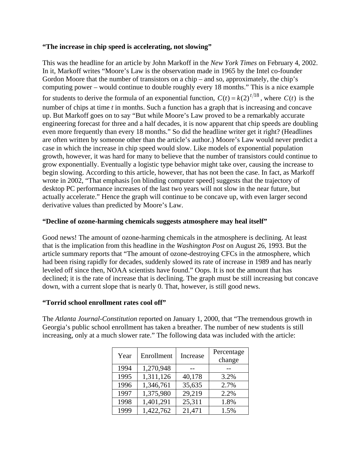#### **"The increase in chip speed is accelerating, not slowing"**

This was the headline for an article by John Markoff in the *New York Times* on February 4, 2002. In it, Markoff writes "Moore's Law is the observation made in 1965 by the Intel co-founder Gordon Moore that the number of transistors on a chip – and so, approximately, the chip's computing power – would continue to double roughly every 18 months." This is a nice example for students to derive the formula of an exponential function,  $C(t) = k(2)^{t/18}$ , where  $C(t)$  is the number of chips at time *t* in months. Such a function has a graph that is increasing and concave up. But Markoff goes on to say "But while Moore's Law proved to be a remarkably accurate engineering forecast for three and a half decades, it is now apparent that chip speeds are doubling even more frequently than every 18 months." So did the headline writer get it right? (Headlines are often written by someone other than the article's author.) Moore's Law would never predict a case in which the increase in chip speed would slow. Like models of exponential population growth, however, it was hard for many to believe that the number of transistors could continue to grow exponentially. Eventually a logistic type behavior might take over, causing the increase to begin slowing. According to this article, however, that has not been the case. In fact, as Markoff wrote in 2002, "That emphasis [on blinding computer speed] suggests that the trajectory of desktop PC performance increases of the last two years will not slow in the near future, but actually accelerate." Hence the graph will continue to be concave up, with even larger second derivative values than predicted by Moore's Law.

#### **"Decline of ozone-harming chemicals suggests atmosphere may heal itself"**

Good news! The amount of ozone-harming chemicals in the atmosphere is declining. At least that is the implication from this headline in the *Washington Post* on August 26, 1993. But the article summary reports that "The amount of ozone-destroying CFCs in the atmosphere, which had been rising rapidly for decades, suddenly slowed its rate of increase in 1989 and has nearly leveled off since then, NOAA scientists have found." Oops. It is not the amount that has declined; it is the rate of increase that is declining. The graph must be still increasing but concave down, with a current slope that is nearly 0. That, however, is still good news.

#### **"Torrid school enrollment rates cool off"**

The *Atlanta Journal-Constitution* reported on January 1, 2000, that "The tremendous growth in Georgia's public school enrollment has taken a breather. The number of new students is still increasing, only at a much slower rate." The following data was included with the article:

| Year | Enrollment | Increase | Percentage<br>change |
|------|------------|----------|----------------------|
| 1994 | 1,270,948  |          |                      |
| 1995 | 1,311,126  | 40,178   | 3.2%                 |
| 1996 | 1,346,761  | 35,635   | 2.7%                 |
| 1997 | 1,375,980  | 29,219   | 2.2%                 |
| 1998 | 1,401,291  | 25,311   | 1.8%                 |
| 1999 | 1,422,762  | 21,471   | 1.5%                 |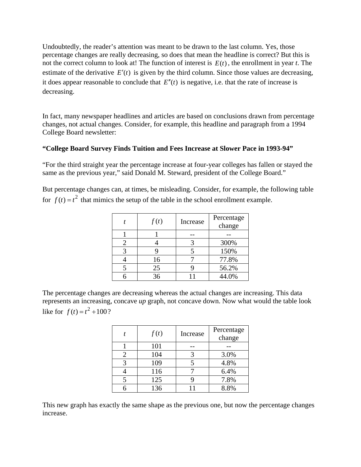Undoubtedly, the reader's attention was meant to be drawn to the last column. Yes, those percentage changes are really decreasing, so does that mean the headline is correct? But this is not the correct column to look at! The function of interest is  $E(t)$ , the enrollment in year *t*. The estimate of the derivative  $E'(t)$  is given by the third column. Since those values are decreasing, it does appear reasonable to conclude that  $E''(t)$  is negative, i.e. that the rate of increase is decreasing.

In fact, many newspaper headlines and articles are based on conclusions drawn from percentage changes, not actual changes. Consider, for example, this headline and paragraph from a 1994 College Board newsletter:

#### **"College Board Survey Finds Tuition and Fees Increase at Slower Pace in 1993-94"**

"For the third straight year the percentage increase at four-year colleges has fallen or stayed the same as the previous year," said Donald M. Steward, president of the College Board."

But percentage changes can, at times, be misleading. Consider, for example, the following table for  $f(t) = t^2$  that mimics the setup of the table in the school enrollment example.

| f(t) | Increase | Percentage<br>change |
|------|----------|----------------------|
|      |          |                      |
|      |          | 300%                 |
|      |          | 150%                 |
| 16   |          | 77.8%                |
| 25   |          | 56.2%                |
| 36   |          | 44.0%                |

The percentage changes are decreasing whereas the actual changes are increasing. This data represents an increasing, concave *up* graph, not concave down. Now what would the table look like for  $f(t) = t^2 + 100$ ?

|   | f(t) | Increase | Percentage<br>change |
|---|------|----------|----------------------|
|   | 101  |          |                      |
|   | 104  |          | 3.0%                 |
| 3 | 109  |          | 4.8%                 |
|   | 116  |          | 6.4%                 |
|   | 125  |          | 7.8%                 |
|   | 136  |          | 8.8%                 |

This new graph has exactly the same shape as the previous one, but now the percentage changes increase.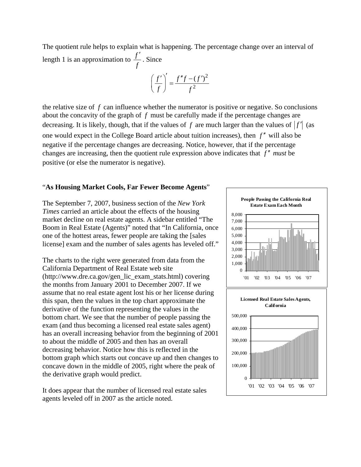The quotient rule helps to explain what is happening. The percentage change over an interval of length 1 is an approximation to *<sup>f</sup> f* ′ . Since

$$
\left(\frac{f'}{f}\right)' = \frac{f''f - (f')^2}{f^2}
$$

the relative size of *f* can influence whether the numerator is positive or negative. So conclusions about the concavity of the graph of *f* must be carefully made if the percentage changes are decreasing. It is likely, though, that if the values of  $f$  are much larger than the values of  $|f'|$  (as one would expect in the College Board article about tuition increases), then *f*<sup>"</sup> will also be negative if the percentage changes are decreasing. Notice, however, that if the percentage changes are increasing, then the quotient rule expression above indicates that  $f''$  *must* be positive (or else the numerator is negative).

#### "**As Housing Market Cools, Far Fewer Become Agents**"

The September 7, 2007, business section of the *New York Times* carried an article about the effects of the housing market decline on real estate agents. A sidebar entitled "The Boom in Real Estate (Agents)" noted that "In California, once one of the hottest areas, fewer people are taking the [sales license] exam and the number of sales agents has leveled off."

The charts to the right were generated from data from the (http://www.dre.ca.gov/gen\_lic\_exam\_stats.html) covering assume that no real estate agent lost his or her license during bottom chart. We see that the number of people passing the has an overall increasing behavior from the beginning of 2001 bottom graph which starts out concave up and then changes to California Department of Real Estate web site the months from January 2001 to December 2007. If we this span, then the values in the top chart approximate the derivative of the function representing the values in the exam (and thus becoming a licensed real estate sales agent) to about the middle of 2005 and then has an overall decreasing behavior. Notice how this is reflected in the concave down in the middle of 2005, right where the peak of the derivative graph would predict.

It does appear that the number of licensed real estate sales agents leveled off in 2007 as the article noted.

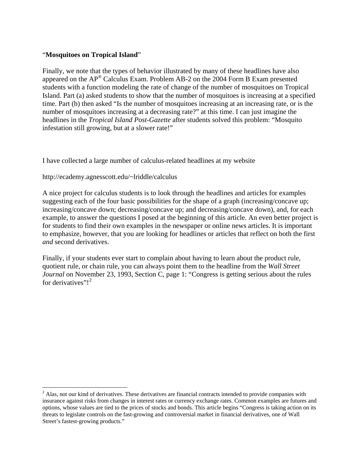#### "**Mosquitoes on Tropical Island**"

Finally, we note that the types of behavior illustrated by many of these headlines have also students with a function modeling the rate of change of the number of mosquitoes on Tropical Island. Part (a) asked students to show that the number of mosquitoes is increasing at a specified appeared on the AP® Calculus Exam. Problem AB-2 on the 2004 Form B Exam presented time. Part (b) then asked "Is the number of mosquitoes increasing at an increasing rate, or is the number of mosquitoes increasing at a decreasing rate?" at this time. I can just imagine the headlines in the *Tropical Island Post-Gazette* after students solved this problem: "Mosquito infestation still growing, but at a slower rate!"

have collected a large number of calculus-related headlines at my website I

http://ecademy.agnesscott.edu/~lriddle/calculus

 $\overline{a}$ 

A nice project for calculus students is to look through the headlines and articles for examples suggesting each of the four basic possibilities for the shape of a graph (increasing/concave up; increasing/concave down; decreasing/concave up; and decreasing/concave down), and, for each example, to answer the questions I posed at the beginning of this article. An even better project is for students to find their own examples in the newspaper or online news articles. It is important to emphasize, however, that you are looking for headlines or articles that reflect on both the first *and* second derivatives.

Finally, if your students ever start to complain about having to learn about the product rule, *Journal* on November 23, 1993, Section C, page 1: "Congress is getting serious about the rules quotient rule, or chain rule, you can always point them to the headline from the *Wall Street*  for derivatives"! $2$ 

<span id="page-8-0"></span> $2$  Alas, not our kind of derivatives. These derivatives are financial contracts intended to provide companies with insurance against risks from changes in interest rates or currency exchange rates. Common examples are futures and options, whose values are tied to the prices of stocks and bonds. This article begins "Congress is taking action on its threats to legislate controls on the fast-growing and controversial market in financial derivatives, one of Wall Street's fastest-growing products."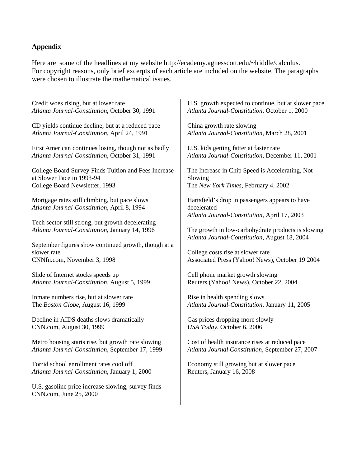#### **Appendix**

Here are some of the headlines at my website http://ecademy.agnesscott.edu/~lriddle/calculus. For copyright reasons, only brief excerpts of each article are included on the website. The paragraphs were chosen to illustrate the mathematical issues.

Credit woes rising, but at lower rate *Atlanta Journal-Constitution*, October 30, 1991

CD yields continue decline, but at a reduced pace *Atlanta Journal-Constitution*, April 24, 1991

First American continues losing, though not as badly *Atlanta Journal-Constitution*, October 31, 1991

College Board Survey Finds Tuition and Fees Increase at Slower Pace in 1993-94 College Board Newsletter, 1993

Mortgage rates still climbing, but pace slows *Atlanta Journal-Constitution*, April 8, 1994

Tech sector still strong, but growth decelerating *Atlanta Journal-Constitution*, January 14, 1996

September figures show continued growth, though at a slower rate CNNfn.com, November 3, 1998

Slide of Internet stocks speeds up *Atlanta Journal-Constitution*, August 5, 1999

Inmate numbers rise, but at slower rate The *Boston Globe*, August 16, 1999

Decline in AIDS deaths slows dramatically CNN.com, August 30, 1999

Metro housing starts rise, but growth rate slowing *Atlanta Journal-Constitution*, September 17, 1999

Torrid school enrollment rates cool off *Atlanta Journal-Constitution*, January 1, 2000

U.S. gasoline price increase slowing, survey finds CNN.com, June 25, 2000

U.S. growth expected to continue, but at slower pace *Atlanta Journal-Constitution*, October 1, 2000

China growth rate slowing *Atlanta Journal-Constitution*, March 28, 2001

U.S. kids getting fatter at faster rate *Atlanta Journal-Constitution*, December 11, 2001

The Increase in Chip Speed is Accelerating, Not Slowing The *New York Times*, February 4, 2002

Hartsfield's drop in passengers appears to have decelerated *Atlanta Journal-Constitution*, April 17, 2003

The growth in low-carbohydrate products is slowing *Atlanta Journal-Constitution*, August 18, 2004

College costs rise at slower rate Associated Press (Yahoo! News), October 19 2004

Cell phone market growth slowing Reuters (Yahoo! News), October 22, 2004

Rise in health spending slows *Atlanta Journal-Constitution*, January 11, 2005

Gas prices dropping more slowly *USA Today*, October 6, 2006

Cost of health insurance rises at reduced pace *Atlanta Journal Constitution*, September 27, 2007

Economy still growing but at slower pace Reuters, January 16, 2008